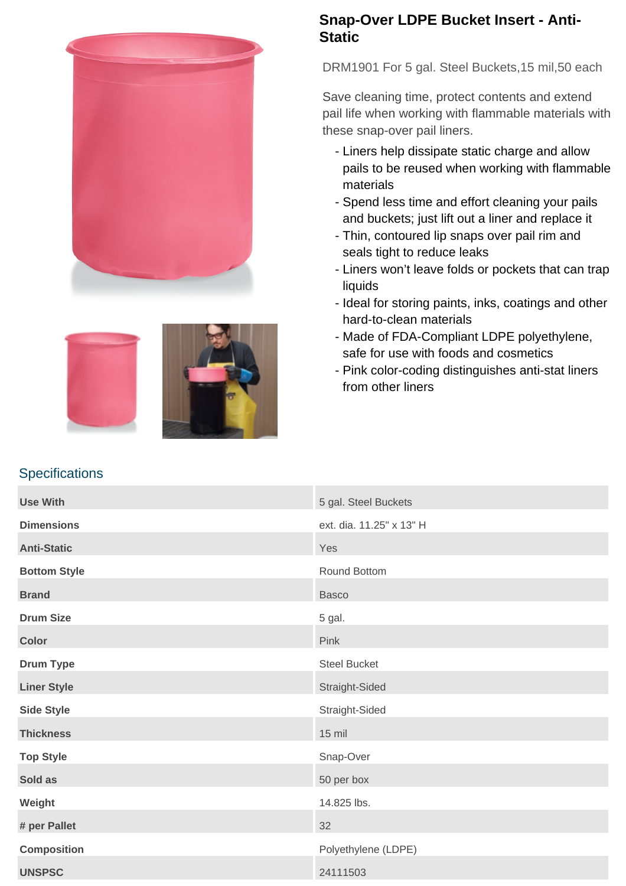



## **Snap-Over LDPE Bucket Insert - Anti-Static**

DRM1901 For 5 gal. Steel Buckets,15 mil,50 each

Save cleaning time, protect contents and extend pail life when working with flammable materials with these snap-over pail liners.

- Liners help dissipate static charge and allow pails to be reused when working with flammable materials
- Spend less time and effort cleaning your pails and buckets; just lift out a liner and replace it
- Thin, contoured lip snaps over pail rim and seals tight to reduce leaks
- Liners won't leave folds or pockets that can trap liquids
- Ideal for storing paints, inks, coatings and other hard-to-clean materials
- Made of FDA-Compliant LDPE polyethylene, safe for use with foods and cosmetics
- Pink color-coding distinguishes anti-stat liners from other liners

# **Specifications**

| <b>Use With</b>     | 5 gal. Steel Buckets     |  |
|---------------------|--------------------------|--|
| <b>Dimensions</b>   | ext. dia. 11.25" x 13" H |  |
| <b>Anti-Static</b>  | Yes                      |  |
| <b>Bottom Style</b> | Round Bottom             |  |
| <b>Brand</b>        | <b>Basco</b>             |  |
| <b>Drum Size</b>    | 5 gal.                   |  |
| <b>Color</b>        | Pink                     |  |
| <b>Drum Type</b>    | <b>Steel Bucket</b>      |  |
| <b>Liner Style</b>  | Straight-Sided           |  |
| <b>Side Style</b>   | Straight-Sided           |  |
| <b>Thickness</b>    | 15 mil                   |  |
| <b>Top Style</b>    | Snap-Over                |  |
| Sold as             | 50 per box               |  |
| Weight              | 14.825 lbs.              |  |
| # per Pallet        | 32                       |  |
| <b>Composition</b>  | Polyethylene (LDPE)      |  |
| <b>UNSPSC</b>       | 24111503                 |  |